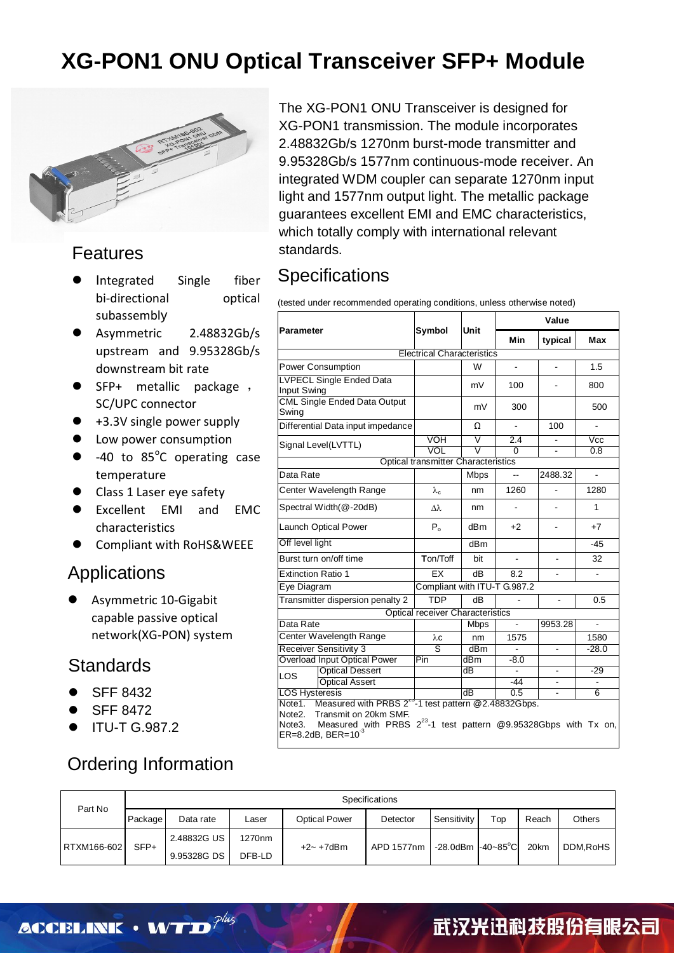

#### Features

- Integrated Single fiber bi-directional optical subassembly
- Asymmetric 2.48832Gb/s upstream and 9.95328Gb/s downstream bit rate
- SFP+ metallic package , SC/UPC connector
- +3.3V single power supply
- Low power consumption
- $\bullet$  -40 to 85°C operating case temperature
- Class 1 Laser eye safety
- Excellent EMI and EMC characteristics
- Compliant with RoHS&WEEE

#### Applications

 Asymmetric 10-Gigabit capable passive optical network(XG-PON) system

#### $\overline{a}$ **Standards**

- SFF 8432
- SFF 8472
- ITU-T G.987.2

#### Ordering Information

The XG-PON1 ONU Transceiver is designed for XG-PON1 transmission. The module incorporates 2.48832Gb/s 1270nm burst-mode transmitter and 9.95328Gb/s 1577nm continuous-mode receiver. An integrated WDM coupler can separate 1270nm input light and 1577nm output light. The metallic package guarantees excellent EMI and EMC characteristics, which totally comply with international relevant standards.

#### **Specifications**

(tested under recommended operating conditions, unless otherwise noted)

|                                                                                                                                                                                                                             | Unit                                       |                         | Value                    |                          |                          |  |
|-----------------------------------------------------------------------------------------------------------------------------------------------------------------------------------------------------------------------------|--------------------------------------------|-------------------------|--------------------------|--------------------------|--------------------------|--|
| <b>Parameter</b>                                                                                                                                                                                                            | Symbol                                     |                         | <b>Min</b>               | typical                  | <b>Max</b>               |  |
|                                                                                                                                                                                                                             | <b>Electrical Characteristics</b>          |                         |                          |                          |                          |  |
| Power Consumption                                                                                                                                                                                                           |                                            | W                       | $\blacksquare$           | $\blacksquare$           | 1.5                      |  |
| <b>LVPECL Single Ended Data</b><br>Input Swing                                                                                                                                                                              |                                            | mV                      | 100                      | $\blacksquare$           | 800                      |  |
| <b>CML Single Ended Data Output</b><br>Swing                                                                                                                                                                                |                                            | mV                      | 300                      |                          | 500                      |  |
| Differential Data input impedance                                                                                                                                                                                           |                                            | Ω                       | $\blacksquare$           | 100                      | $\overline{\phantom{a}}$ |  |
| Signal Level(LVTTL)                                                                                                                                                                                                         | <b>VOH</b>                                 | $\overline{\mathsf{v}}$ | 2.4                      |                          | $\overline{\text{Vcc}}$  |  |
|                                                                                                                                                                                                                             | <b>VOL</b>                                 | $\overline{\mathsf{v}}$ | 0                        |                          | 0.8                      |  |
|                                                                                                                                                                                                                             | <b>Optical transmitter Characteristics</b> |                         |                          |                          |                          |  |
| Data Rate                                                                                                                                                                                                                   |                                            | <b>Mbps</b>             | $\overline{a}$           | 2488.32                  | ÷.                       |  |
| Center Wavelength Range                                                                                                                                                                                                     | $\lambda_c$                                | nm                      | 1260                     | ÷.                       | 1280                     |  |
| Spectral Width (@-20dB)                                                                                                                                                                                                     | лλ                                         | nm                      | $\overline{\phantom{a}}$ | ٠                        | 1                        |  |
| <b>Launch Optical Power</b>                                                                                                                                                                                                 | $P_{o}$                                    | dBm                     | $+2$                     |                          | $+7$                     |  |
| Off level light                                                                                                                                                                                                             |                                            | dB <sub>m</sub>         |                          |                          | $-45$                    |  |
| Burst turn on/off time                                                                                                                                                                                                      | Ton/Toff                                   | bit                     | $\overline{a}$           | $\overline{\phantom{a}}$ | 32                       |  |
| <b>Extinction Ratio 1</b>                                                                                                                                                                                                   | EX                                         | dB                      | 8.2                      |                          |                          |  |
| Eye Diagram                                                                                                                                                                                                                 | Compliant with ITU-T G.987.2               |                         |                          |                          |                          |  |
| Transmitter dispersion penalty 2                                                                                                                                                                                            | <b>TDP</b>                                 | dB                      |                          |                          | 0.5                      |  |
|                                                                                                                                                                                                                             | <b>Optical receiver Characteristics</b>    |                         |                          |                          |                          |  |
| Data Rate                                                                                                                                                                                                                   |                                            | <b>Mbps</b>             |                          | 9953.28                  |                          |  |
| Center Wavelength Range                                                                                                                                                                                                     | λc                                         | nm                      | 1575                     |                          | 1580                     |  |
| <b>Receiver Sensitivity 3</b>                                                                                                                                                                                               | Ś                                          | dBm                     |                          | $\overline{\phantom{a}}$ | $-28.0$                  |  |
| <b>Overload Input Optical Power</b>                                                                                                                                                                                         | Pin                                        | dBm                     | $-8.0$                   |                          |                          |  |
| <b>Optical Dessert</b><br><b>LOS</b>                                                                                                                                                                                        |                                            | dB                      |                          |                          | $-29$                    |  |
| <b>Optical Assert</b>                                                                                                                                                                                                       |                                            |                         | -44                      |                          |                          |  |
| <b>LOS Hysteresis</b>                                                                                                                                                                                                       |                                            | dB                      | 0.5                      |                          | 6                        |  |
| Note1. Measured with PRBS 2 <sup>23</sup> -1 test pattern @2.48832Gbps.<br>Note2. Transmit on 20km SMF.<br>Measured with PRBS $2^{23}$ -1 test pattern @9.95328Gbps with Tx on,<br>Note3.<br>$ER = 8.2dB$ , $BER = 10^{-3}$ |                                            |                         |                          |                          |                          |  |

|                                                   |                    | Specifications     |            |                           |          |             |                      |       |               |
|---------------------------------------------------|--------------------|--------------------|------------|---------------------------|----------|-------------|----------------------|-------|---------------|
| Part No                                           | Package            | Data rate          | Laser      | Optical Power             | Detector | Sensitivity | $\tau_{\mathsf{op}}$ | Reach | <b>Others</b> |
| 2.48832G US<br>SFP+<br>RTXM166-602<br>9.95328G DS | 1270 <sub>nm</sub> | $+2$ ~ $+7$ d $Bm$ | APD 1577nm | $-28.0$ dBm $-40 - 85$ °C |          | 20km        | DDM.RoHS             |       |               |
|                                                   | DFB-LD             |                    |            |                           |          |             |                      |       |               |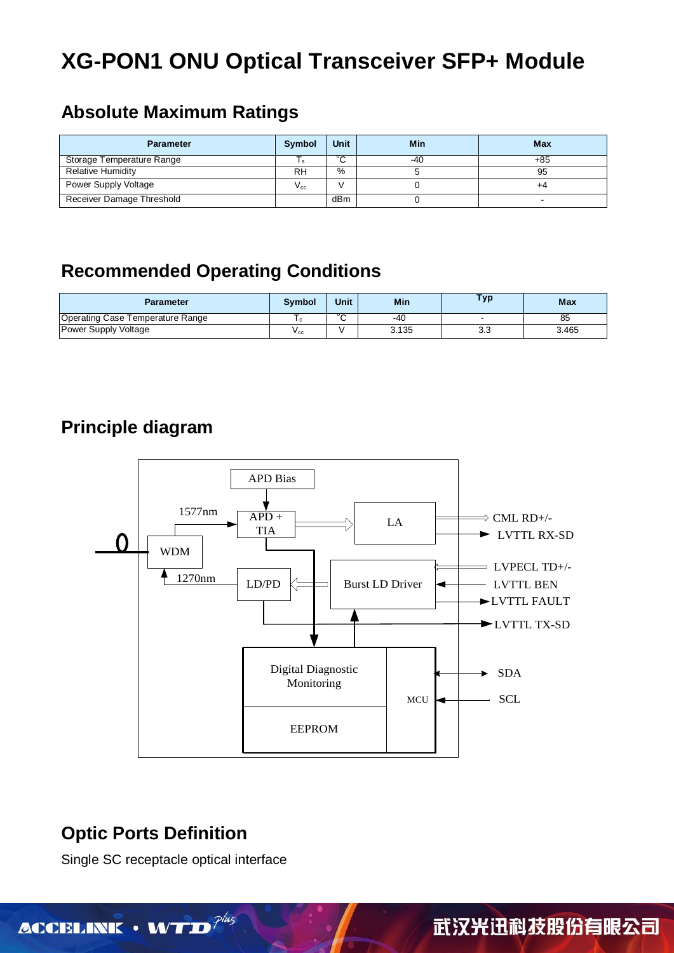### **Absolute Maximum Ratings**

| <b>Parameter</b>          | <b>Symbol</b>   | <b>Unit</b> | Min | <b>Max</b> |
|---------------------------|-----------------|-------------|-----|------------|
| Storage Temperature Range |                 | ິ<br>ັ      | -40 | +85        |
| <b>Relative Humidity</b>  | <b>RH</b>       | %           |     | 95         |
| Power Supply Voltage      | $V_{\text{c}c}$ |             |     | +4         |
| Receiver Damage Threshold |                 | dBm         |     |            |

### **Recommended Operating Conditions**

| Parameter                        | <b>Symbol</b> | Unit | Min   | Тур | <b>Max</b> |
|----------------------------------|---------------|------|-------|-----|------------|
| Operating Case Temperature Range |               | ◡⌒   | -40   |     | oο         |
| Power Supply Voltage             | $V_{\rm CC}$  |      | 3.135 | 3.3 | 3.465      |

### **Principle diagram**



### **Optic Ports Definition**

Single SC receptacle optical interface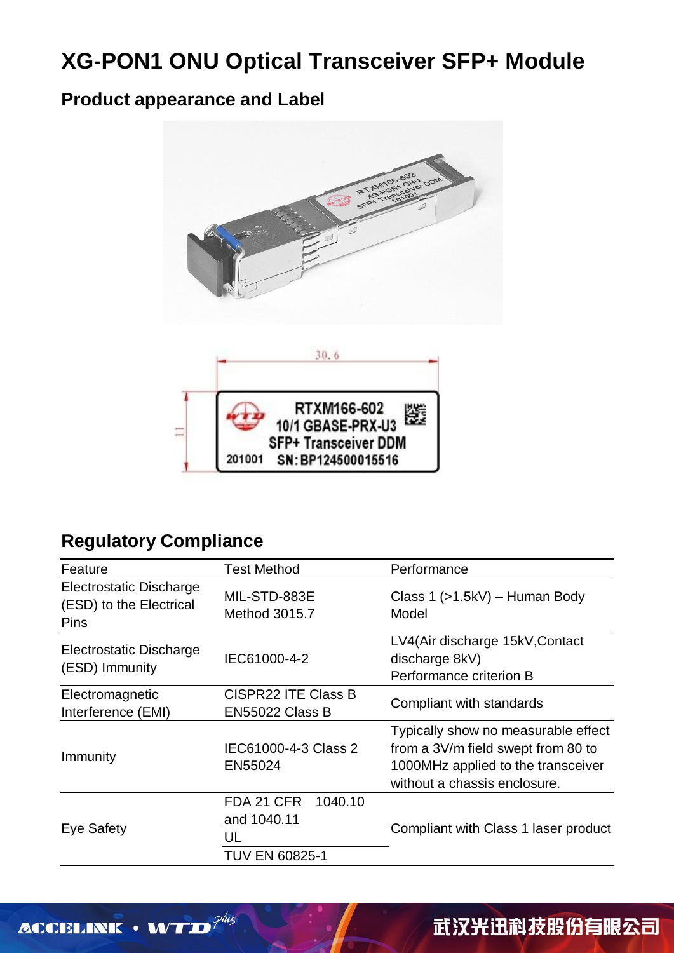### **Product appearance and Label**



### **Regulatory Compliance**

| Feature                                                    | <b>Test Method</b>                                           | Performance                                                                                                                                     |  |  |
|------------------------------------------------------------|--------------------------------------------------------------|-------------------------------------------------------------------------------------------------------------------------------------------------|--|--|
| Electrostatic Discharge<br>(ESD) to the Electrical<br>Pins | MIL-STD-883E<br>Method 3015.7                                | Class $1$ ( $>1.5$ kV) – Human Body<br>Model                                                                                                    |  |  |
| Electrostatic Discharge<br>(ESD) Immunity                  | IEC61000-4-2                                                 | LV4(Air discharge 15kV, Contact<br>discharge 8kV)<br>Performance criterion B                                                                    |  |  |
| Electromagnetic<br>Interference (EMI)                      | <b>CISPR22 ITE Class B</b><br><b>EN55022 Class B</b>         | Compliant with standards                                                                                                                        |  |  |
| Immunity                                                   | IEC61000-4-3 Class 2<br>EN55024                              | Typically show no measurable effect<br>from a 3V/m field swept from 80 to<br>1000MHz applied to the transceiver<br>without a chassis enclosure. |  |  |
| Eye Safety                                                 | FDA 21 CFR<br>1040.10<br>and 1040.11<br>UL<br>TUV EN 60825-1 | Compliant with Class 1 laser product                                                                                                            |  |  |